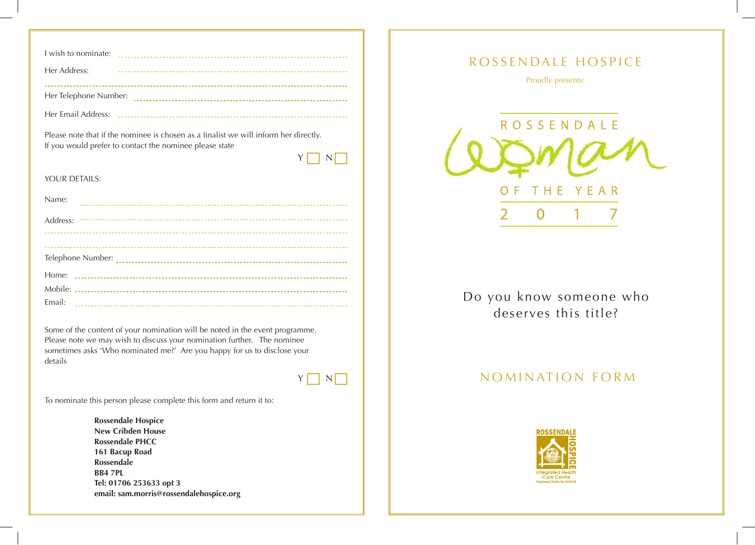| I wish to nominate:   |  |
|-----------------------|--|
| Her Address:          |  |
| Her Telephone Number: |  |
| Her Email Address:    |  |

Please note that if the nominee is chosen as a finalist we will inform her directly. If you would prefer to contact the nominee please state

Y N N

## YOUR DETAILS:

| Name:  |
|--------|
|        |
|        |
|        |
|        |
|        |
| Email: |

Some of the content of your nomination will be noted in the event programme. Please note we may wish to discuss your nomination further. The nominee sometimes asks 'Who nominated me?' Are you happy for us to disclose your details

## $Y \Box N$

To nominate this person please complete this form and return it to:

**Rossendale Hospice New Cribden House Rossendale PHCC 161 Bacup Road Rossendale BB4 7PL Tel: 01706 253633 opt 3 email: sam.morris@rossendalehospice.org**



Do you know someone who deserves this title?

## NOMINATION FORM